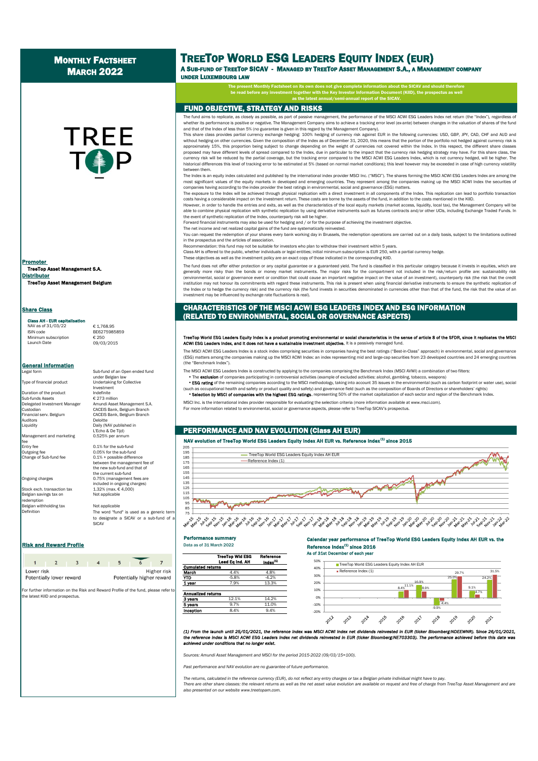# MONTHLY FACTSHEET **MARCH 2022**

# **TREE**

TreeTop Asset Management S.A. Distributor TreeTop Asset Management Belgium Promoter

## **Share Class**

#### Class AH - EUR cap

NAV as of 31/03/22 € 1,768.95<br>ISIN code BE6275985 Minimum subscription<br>Launch Date

 $B = 6275985859$  $2020$ 

**General Information** 

Type of financial product

Duration of the product  $\begin{array}{ccc}\n\text{Indefinite} \\
\text{Sub-funds Assets} \\
\text{C 273 million}\n\end{array}$ Sub-funds Assets<br>Delegated Investment Manager . . . . . . .<br>Auditors Liquidity Daily (NAV published in

Management and marketing fee<br>Entry fee Change of Sub-fund fee.

Stock exch. transaction tax  $1.32\%$  (max. € 4,000)<br>Belgian savings tax on the 4,000 Not applicable Belgian savings tax on emption Belgian withholding tax Not applicable Definition

Sub-fund of an Open ended fund under Belgian law<br>Undertaking for Collective Investment<br>Indefinite Delegated Investment Manager Amundi Asset Management S.A. Custodian Integration Cace Custom Cace Custodian Custom Custom Custom Custom Custom Custom Custom Custom Custo<br>Custodian CACEIS Bank, Belgium Branch<br>Financial serv. Belgium CACEIS Bank, Belgium Branch L'Echo & De Tijd)<br>0.525% per annu

Entry fee 0.1% for the sub-fund<br>Outgoing fee 0.05% for the sub-fund  $0.05%$  for the sub-fund<br> $0.1%$  + possible difference between the management fee of the new sub-fund and that of the current sub-fund Ongoing charges 0.75% (management fees are included in ongoing charges)<br> $1.32\%$  (max.  $\epsilon$  4,000)

> The word "fund" is used as a generic term to designate a SICAV or a sub-fund of a SICAV

# **Risk and Reward Profile Data as of 31 March 2022**

| Lower risk               |  |  |  | Higher risk               |  |  |
|--------------------------|--|--|--|---------------------------|--|--|
| Potentially lower reward |  |  |  | Potentially higher reward |  |  |

For further information on the Risk and Reward Profile of the fund, please refer to the latest KIID and prospectus.

# TREETOP WORLD ESG LEADERS EQUITY INDEX (EUR)

A SUB-FUND OF TREETOP SICAV - MANAGED BY TREETOP ASSET MANAGEMENT S.A., A MANAGEMENT COMPANY

UNDER LUXEMBOURG LAW

The present Monthly Factsheet on its own does not give complete information about the SICAV and should therefore<br>be read before any investment together with the Key Investor Information Document (KIID), the prospectus as w as the latest annual/semi-annual report of the SICAV.

# FUND OBJECTIVE, STRATEGY AND RISKS

The fund aims to replicate, as closely as possible, as part of passive management, the performance of the MSCI ACWI ESG Leaders Index net return (the "Index"), regardless of whether its performance is positive or negative. The Management Company aims to achieve a tracking error level (ex-ante) between changes in the valuation of shares of the fund the fund of shares of the fund of shares of th and that of the Index of less than 5% (no guarantee is given in this regard by the Management Company).

This share class provides partial currency exchange hedging: 100% hedging of currency risk against EUR in the following currencies: USD, GBP, JPY, CAD, CHF and AUD and without hedging on other currencies. Given the composition of the Index as of December 31, 2020, this means that the portion of the portfolio not hedged against currency risk is approximately 15%, this proportion being subject to change depending on the weight of currencies not covered within the Index. In this respect, the different share classes proposed may have different levels of spread compared to the Index, due in particular to the impact that the currency risk hedging strategy may have. For this share class, the .<br>currency risk will be reduced by the partial coverage, but the tracking error compared to the MSCI ACWI ESG Leaders Index, which is not currency hedged, will be higher. The historical differences this level of tracking error to be estimated at 5% (based on normal market conditions); this level however may be exceeded in case of high currency volatility between them.

The Index is an equity index calculated and published by the international index provider MSCI Inc. ("MSCI"). The shares forming the MSCI ACWI ESG Leaders Index are among the most significant values of the equity markets in developed and emerging countries. They represent among the companies making up the MSCI ACWI Index the securities of<br>companies having according to the index provider the bes

The exposure to the Index will be achieved through physical replication with a direct investment in all components of the Index. This replication can lead to portfolio transaction costs having a considerable impact on the investment return. These costs are borne by the assets of the fund, in addition to the costs mentioned in the KIID.

However, in order to handle the entries and exits, as well as the characteristics of the local equity markets (market access, liquidity, local tax), the Management Company will be able to combine physical replication with synthetic replication by using derivative instruments such as futures contracts and/or other UCIs, including Exchange Traded Funds. In the event of synthetic replication of the Index, counterparty risk will be higher.

Forward financial instruments may also be used for hedging and / or for the purpose of achieving the investment objective.

The net income and net realized capital gains of the fund are systematically reinvested. You can request the redemption of your shares every bank working day in Brussels, the redemption operations are carried out on a daily basis, subject to the limitations outlined

in the prospectus and the articles of association.

Recommendation: this fund may not be suitable for investors who plan to withdraw their investment within 5 years. Class AH is offered to the public, whether individuals or legal entities; initial minimum subscription is EUR 250, with a partial currency hedge.

These objectives as well as the investment policy are an exact copy of those indicated in the corresponding KIID.

The fund does not offer either protection or any capital guarantee or a guaranteed yield. The fund is classified in this particular category because it invests in equities, which are generally more risky than the bonds or money market instruments. The major risks for the compartment not included in the risk/return profile are: sustainability risk (environmental, social or governance event or condition that could cause an important negative impact on the value of an investment), counterparty risk (the risk that the credit institution may not honour its commitments with regard these instruments. This risk is present when using financial derivative instruments to ensure the synthetic replication of the Index or to hedge the currency risk) and the currency risk (the fund invests in securities denominated in currencies other than that of the fund, the risk that the value of an investment may be influenced by exchange rate fluctuations is real).

# CHARACTERISTICS OF THE MSCI ACWI ESG LEADERS INDEX AND ESG INFORMATION (RELATED TO ENVIRONMENTAL, SOCIAL OR GOVERNANCE ASPECTS)

#### rironmental or social characteristics in the sense of article 8 of the SFDR, since it replicates the MSC<br>nent objective. It is a passively managed fund. TreeTop World ESG Leaders Equity Index is a product promoting environm<br>ACWI ESG Leaders Index, and it does not have a sustainable investment ol

The MSCI ACWI ESG Leaders Index is a stock index comprising securities in companies having the best ratings ("Best-in-Class" approach) in environmental, social and governance (ESG) matters among the companies making up the MSCI ACWI Index: an index representing mid and large-cap securities from 23 developed countries and 24 emerging countries (the "Benchmark Index").

The MSCI ACWI ESG Leaders Index is constructed by applying to the companies comprising the Benchmark Index (MSCI AVWI) a combination of two filters:

• The exclusion of companies participating in controversial activities (example of excluded activities: alcohol, gambling, tobacco, weapons)

FESG rating of the remaining companies according to the MSCI methodology, taking into account 35 issues in the environmental (such as carbon footprint or water use), social<br>(such as occupational health and safety or produc .<br>(such as of Directors or shareholders' rights) and safety) and governance field (such as the composition of Boards of Directors or shareholders' rights). **Selection by MSCI of companies with the highest ESG ratings**, representing 50% of the market capitalization of each sector and region of the Benchmark Index.

MSCI Inc. is the international index provider responsible for evaluating the selection criteria (more information available at www.msci.com).

For more information related to environmental, social or governance aspects, please refer to TreeTop SICAV's prospectus.

# PERFORMANCE AND NAV EVOLUTION (Class AH EUR)

# NAV evolution of TreeTop World ESG Leaders Equity Index AH EUR vs. Reference Index $^{(4)}$  since 2015



# Performance sum



Calendar year performance of TreeTop World ESG Leaders Equity Index AH EUR vs. the Reference  $Index^{(1)}$  since 2016 As of 31st December of each year



(1) From the launch until 25/01/2021, the reference index was MSCI ACWI index net dividends reinvested in EUR (ticker Bloomberg:NDEEWNR). Since 26/01/2021, the reference index is MSCI ACWI ESG Leaders Index net dividends reinvested in EUR (ticker Bioomberg:NE703303). The performance achieved before this date was *achieved under conditions that no longer exist.*

*Sources: Amundi Asset Management and MSCI for the period 2015-2022 (09/03/15=100).*

*Past performance and NAV evolution are no guarantee of future performance.*

*The returns, calculated in the reference currency (EUR), do not reflect any entry charges or tax a Belgian private individual might have to pay.* There are other share classes: the relevant returns as well as the net asset value evolution are available on request and free of charge from TreeTop Asset Management and are *also presented on our website www.treetopam.com.*